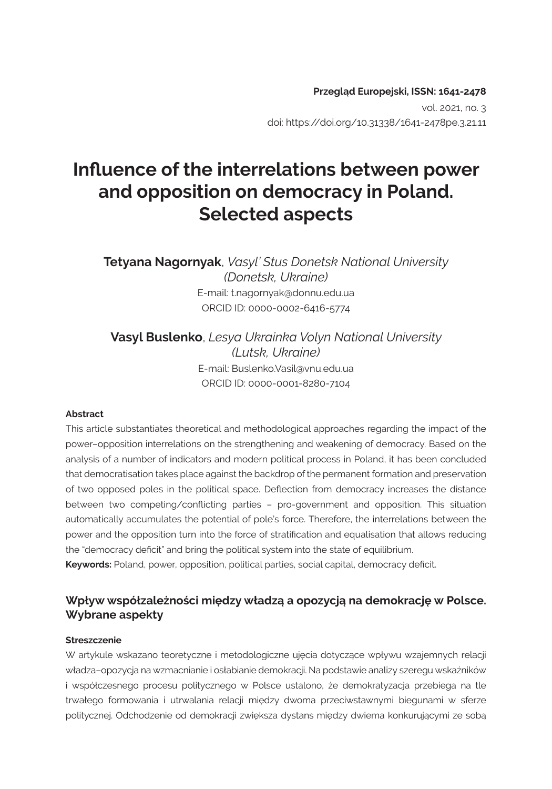# **Influence of the interrelations between power and opposition on democracy in Poland. Selected aspects**

**Tetyana Nagornyak**, *Vasyl' Stus Donetsk National University (Donetsk, Ukraine)* E-mail: t.nagornyak@donnu.edu.ua ORCID ID: 0000-0002-6416-5774

**Vasyl Buslenko**, *Lesya Ukrainka Volyn National University (Lutsk, Ukraine)*  E-mail: Buslenko.Vasil@vnu.edu.ua ORCID ID: 0000-0001-8280-7104

#### **Abstract**

This article substantiates theoretical and methodological approaches regarding the impact of the power–opposition interrelations on the strengthening and weakening of democracy. Based on the analysis of a number of indicators and modern political process in Poland, it has been concluded that democratisation takes place against the backdrop of the permanent formation and preservation of two opposed poles in the political space. Deflection from democracy increases the distance between two competing/conflicting parties – pro-government and opposition. This situation automatically accumulates the potential of pole's force. Therefore, the interrelations between the power and the opposition turn into the force of stratification and equalisation that allows reducing the "democracy deficit" and bring the political system into the state of equilibrium.

**Keywords:** Poland, power, opposition, political parties, social capital, democracy deficit.

#### **Wpływ współzależności między władzą a opozycją na demokrację w Polsce. Wybrane aspekty**

#### **Streszczenie**

W artykule wskazano teoretyczne i metodologiczne ujęcia dotyczące wpływu wzajemnych relacji władza–opozycja na wzmacnianie i osłabianie demokracji. Na podstawie analizy szeregu wskaźników i współczesnego procesu politycznego w Polsce ustalono, że demokratyzacja przebiega na tle trwałego formowania i utrwalania relacji między dwoma przeciwstawnymi biegunami w sferze politycznej. Odchodzenie od demokracji zwiększa dystans między dwiema konkurującymi ze sobą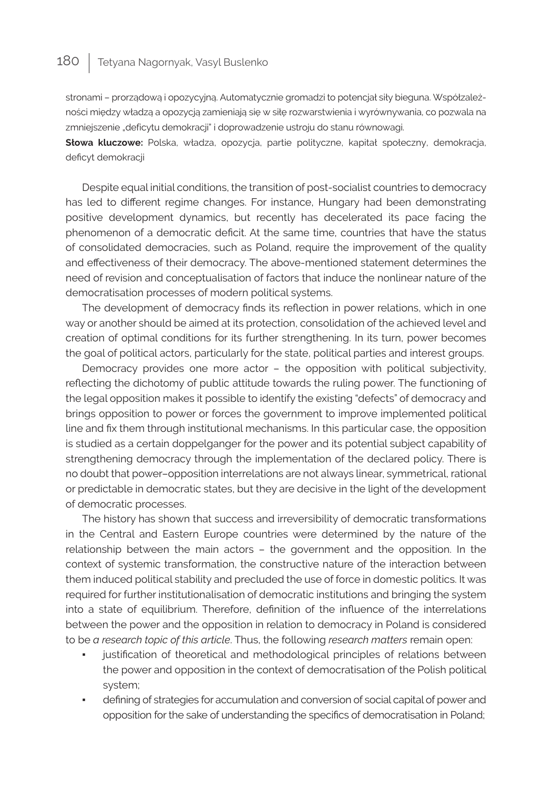stronami – prorządową i opozycyjną. Automatycznie gromadzi to potencjał siły bieguna. Współzależności między władzą a opozycją zamieniają się w siłę rozwarstwienia i wyrównywania, co pozwala na zmniejszenie "deficytu demokracji" i doprowadzenie ustroju do stanu równowagi.

**Słowa kluczowe:** Polska, władza, opozycja, partie polityczne, kapitał społeczny, demokracja, deficyt demokracji

Despite equal initial conditions, the transition of post-socialist countries to democracy has led to different regime changes. For instance, Hungary had been demonstrating positive development dynamics, but recently has decelerated its pace facing the phenomenon of a democratic deficit. At the same time, countries that have the status of consolidated democracies, such as Poland, require the improvement of the quality and effectiveness of their democracy. The above-mentioned statement determines the need of revision and conceptualisation of factors that induce the nonlinear nature of the democratisation processes of modern political systems.

The development of democracy finds its reflection in power relations, which in one way or another should be aimed at its protection, consolidation of the achieved level and creation of optimal conditions for its further strengthening. In its turn, power becomes the goal of political actors, particularly for the state, political parties and interest groups.

Democracy provides one more actor – the opposition with political subjectivity, reflecting the dichotomy of public attitude towards the ruling power. The functioning of the legal opposition makes it possible to identify the existing "defects" of democracy and brings opposition to power or forces the government to improve implemented political line and fix them through institutional mechanisms. In this particular case, the opposition is studied as a certain doppelganger for the power and its potential subject capability of strengthening democracy through the implementation of the declared policy. There is no doubt that power–opposition interrelations are not always linear, symmetrical, rational or predictable in democratic states, but they are decisive in the light of the development of democratic processes.

The history has shown that success and irreversibility of democratic transformations in the Central and Eastern Europe countries were determined by the nature of the relationship between the main actors – the government and the opposition. In the context of systemic transformation, the constructive nature of the interaction between them induced political stability and precluded the use of force in domestic politics. It was required for further institutionalisation of democratic institutions and bringing the system into a state of equilibrium. Therefore, definition of the influence of the interrelations between the power and the opposition in relation to democracy in Poland is considered to be *a research topic of this article*. Thus, the following *research matters* remain open:

- justification of theoretical and methodological principles of relations between the power and opposition in the context of democratisation of the Polish political system;
- defining of strategies for accumulation and conversion of social capital of power and opposition for the sake of understanding the specifics of democratisation in Poland;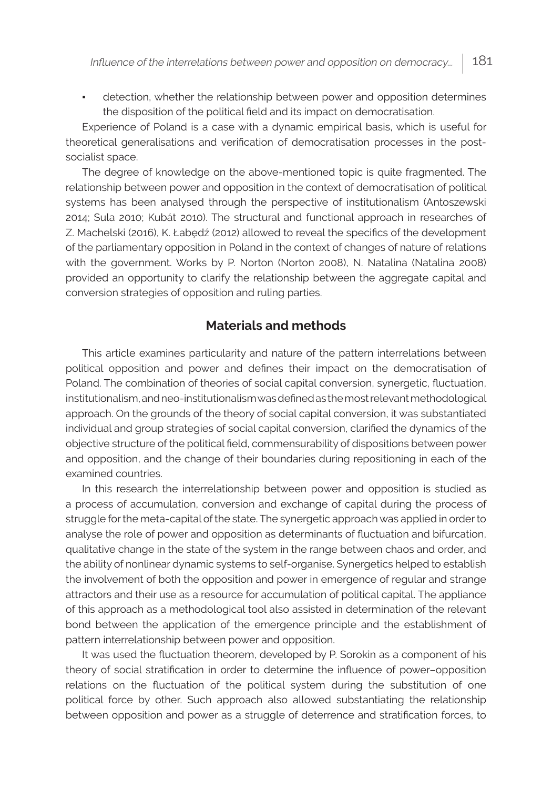detection, whether the relationship between power and opposition determines the disposition of the political field and its impact on democratisation.

Experience of Poland is a case with a dynamic empirical basis, which is useful for theoretical generalisations and verification of democratisation processes in the postsocialist space.

The degree of knowledge on the above-mentioned topic is quite fragmented. The relationship between power and opposition in the context of democratisation of political systems has been analysed through the perspective of institutionalism (Antoszewski 2014; Sula 2010; Kubát 2010). The structural and functional approach in researches of Z. Machelski (2016), K. Łabędź (2012) allowed to reveal the specifics of the development of the parliamentary opposition in Poland in the context of changes of nature of relations with the government. Works by P. Norton (Norton 2008), N. Natalina (Natalina 2008) provided an opportunity to clarify the relationship between the aggregate capital and conversion strategies of opposition and ruling parties.

# **Materials and methods**

This article examines particularity and nature of the pattern interrelations between political opposition and power and defines their impact on the democratisation of Poland. The combination of theories of social capital conversion, synergetic, fluctuation, institutionalism, and neo-institutionalism was defined as the most relevant methodological approach. On the grounds of the theory of social capital conversion, it was substantiated individual and group strategies of social capital conversion, clarified the dynamics of the objective structure of the political field, commensurability of dispositions between power and opposition, and the change of their boundaries during repositioning in each of the examined countries.

In this research the interrelationship between power and opposition is studied as a process of accumulation, conversion and exchange of capital during the process of struggle for the meta-capital of the state. The synergetic approach was applied in order to analyse the role of power and opposition as determinants of fluctuation and bifurcation, qualitative change in the state of the system in the range between chaos and order, and the ability of nonlinear dynamic systems to self-organise. Synergetics helped to establish the involvement of both the opposition and power in emergence of regular and strange attractors and their use as a resource for accumulation of political capital. The appliance of this approach as a methodological tool also assisted in determination of the relevant bond between the application of the emergence principle and the establishment of pattern interrelationship between power and opposition.

It was used the fluctuation theorem, developed by P. Sorokin as a component of his theory of social stratification in order to determine the influence of power–opposition relations on the fluctuation of the political system during the substitution of one political force by other. Such approach also allowed substantiating the relationship between opposition and power as a struggle of deterrence and stratification forces, to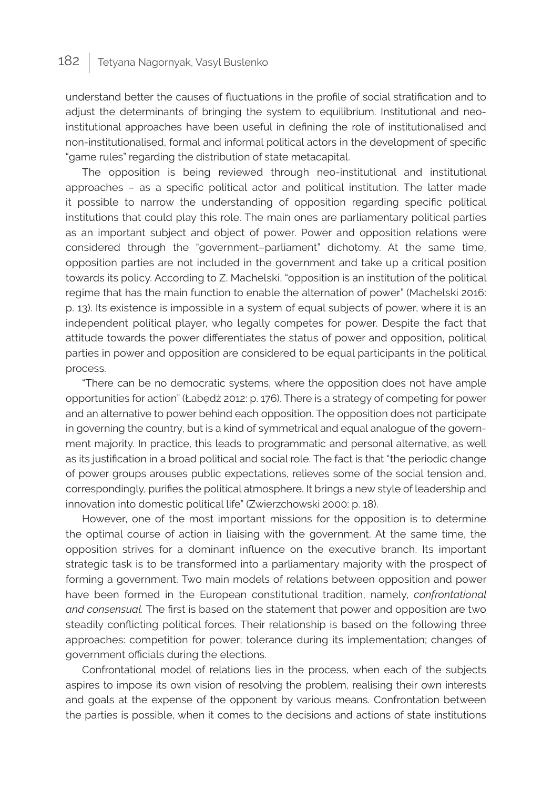understand better the causes of fluctuations in the profile of social stratification and to adjust the determinants of bringing the system to equilibrium. Institutional and neoinstitutional approaches have been useful in defining the role of institutionalised and non-institutionalised, formal and informal political actors in the development of specific "game rules" regarding the distribution of state metacapital.

The opposition is being reviewed through neo-institutional and institutional approaches – as a specific political actor and political institution. The latter made it possible to narrow the understanding of opposition regarding specific political institutions that could play this role. The main ones are parliamentary political parties as an important subject and object of power. Power and opposition relations were considered through the "government–parliament" dichotomy. At the same time, opposition parties are not included in the government and take up a critical position towards its policy. According to Z. Machelski, "opposition is an institution of the political regime that has the main function to enable the alternation of power" (Machelski 2016: p. 13). Its existence is impossible in a system of equal subjects of power, where it is an independent political player, who legally competes for power. Despite the fact that attitude towards the power differentiates the status of power and opposition, political parties in power and opposition are considered to be equal participants in the political process.

"There can be no democratic systems, where the opposition does not have ample opportunities for action" (Łabędź 2012: p. 176). There is a strategy of competing for power and an alternative to power behind each opposition. The opposition does not participate in governing the country, but is a kind of symmetrical and equal analogue of the government majority. In practice, this leads to programmatic and personal alternative, as well as its justification in a broad political and social role. The fact is that "the periodic change of power groups arouses public expectations, relieves some of the social tension and, correspondingly, purifies the political atmosphere. It brings a new style of leadership and innovation into domestic political life" (Zwierzchowski 2000: p. 18).

However, one of the most important missions for the opposition is to determine the optimal course of action in liaising with the government. At the same time, the opposition strives for a dominant influence on the executive branch. Its important strategic task is to be transformed into a parliamentary majority with the prospect of forming a government. Two main models of relations between opposition and power have been formed in the European constitutional tradition, namely, *confrontational and consensual.* The first is based on the statement that power and opposition are two steadily conflicting political forces. Their relationship is based on the following three approaches: competition for power; tolerance during its implementation; changes of government officials during the elections.

Confrontational model of relations lies in the process, when each of the subjects aspires to impose its own vision of resolving the problem, realising their own interests and goals at the expense of the opponent by various means. Confrontation between the parties is possible, when it comes to the decisions and actions of state institutions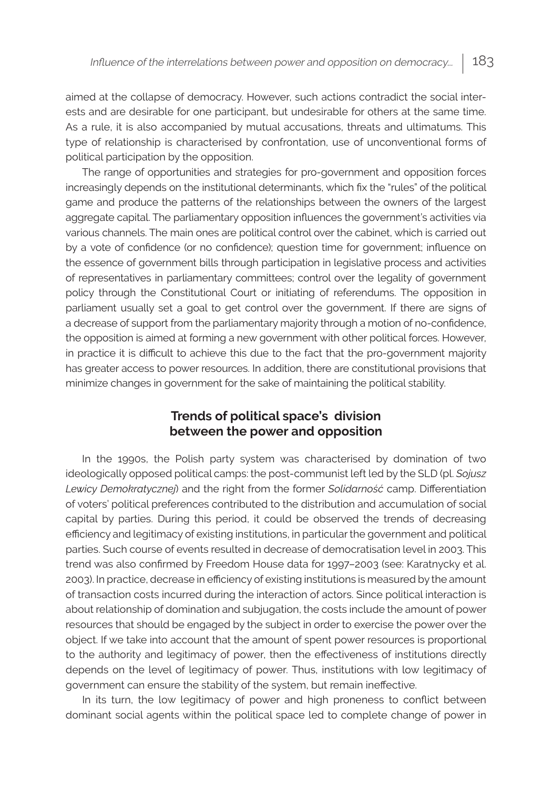aimed at the collapse of democracy. However, such actions contradict the social interests and are desirable for one participant, but undesirable for others at the same time. As a rule, it is also accompanied by mutual accusations, threats and ultimatums. This type of relationship is characterised by confrontation, use of unconventional forms of political participation by the opposition.

The range of opportunities and strategies for pro-government and opposition forces increasingly depends on the institutional determinants, which fix the "rules" of the political game and produce the patterns of the relationships between the owners of the largest aggregate capital. The parliamentary opposition influences the government's activities via various channels. The main ones are political control over the cabinet, which is carried out by a vote of confidence (or no confidence); question time for government; influence on the essence of government bills through participation in legislative process and activities of representatives in parliamentary committees; control over the legality of government policy through the Constitutional Court or initiating of referendums. The opposition in parliament usually set a goal to get control over the government. If there are signs of a decrease of support from the parliamentary majority through a motion of no-confidence, the opposition is aimed at forming a new government with other political forces. However, in practice it is difficult to achieve this due to the fact that the pro-government majority has greater access to power resources. In addition, there are constitutional provisions that minimize changes in government for the sake of maintaining the political stability.

#### **Trends of political space's division between the power and opposition**

In the 1990s, the Polish party system was characterised by domination of two ideologically opposed political camps: the post-communist left led by the SLD (pl. *Sojusz Lewicy Demokratycznej*) and the right from the former *Solidarność* camp. Differentiation of voters' political preferences contributed to the distribution and accumulation of social capital by parties. During this period, it could be observed the trends of decreasing efficiency and legitimacy of existing institutions, in particular the government and political parties. Such course of events resulted in decrease of democratisation level in 2003. This trend was also confirmed by Freedom House data for 1997–2003 (see: Karatnycky et al. 2003). In practice, decrease in efficiency of existing institutions is measured by the amount of transaction costs incurred during the interaction of actors. Since political interaction is about relationship of domination and subjugation, the costs include the amount of power resources that should be engaged by the subject in order to exercise the power over the object. If we take into account that the amount of spent power resources is proportional to the authority and legitimacy of power, then the effectiveness of institutions directly depends on the level of legitimacy of power. Thus, institutions with low legitimacy of government can ensure the stability of the system, but remain ineffective.

In its turn, the low legitimacy of power and high proneness to conflict between dominant social agents within the political space led to complete change of power in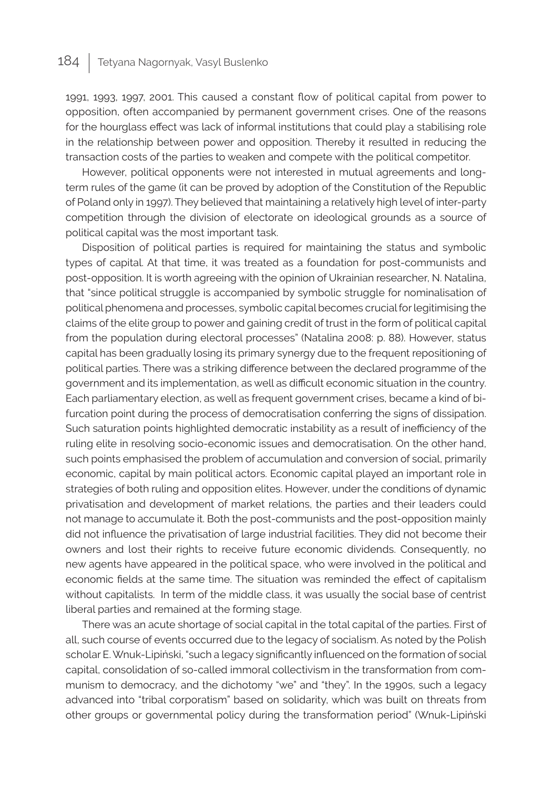1991, 1993, 1997, 2001. This caused a constant flow of political capital from power to opposition, often accompanied by permanent government crises. One of the reasons for the hourglass effect was lack of informal institutions that could play a stabilising role in the relationship between power and opposition. Thereby it resulted in reducing the transaction costs of the parties to weaken and compete with the political competitor.

However, political opponents were not interested in mutual agreements and longterm rules of the game (it can be proved by adoption of the Constitution of the Republic of Poland only in 1997). They believed that maintaining a relatively high level of inter-party competition through the division of electorate on ideological grounds as a source of political capital was the most important task.

Disposition of political parties is required for maintaining the status and symbolic types of capital. At that time, it was treated as a foundation for post-communists and post-opposition. It is worth agreeing with the opinion of Ukrainian researcher, N. Natalina, that "since political struggle is accompanied by symbolic struggle for nominalisation of political phenomena and processes, symbolic capital becomes crucial for legitimising the claims of the elite group to power and gaining credit of trust in the form of political capital from the population during electoral processes" (Natalina 2008: p. 88). However, status capital has been gradually losing its primary synergy due to the frequent repositioning of political parties. There was a striking difference between the declared programme of the government and its implementation, as well as difficult economic situation in the country. Each parliamentary election, as well as frequent government crises, became a kind of bifurcation point during the process of democratisation conferring the signs of dissipation. Such saturation points highlighted democratic instability as a result of inefficiency of the ruling elite in resolving socio-economic issues and democratisation. On the other hand, such points emphasised the problem of accumulation and conversion of social, primarily economic, capital by main political actors. Economic capital played an important role in strategies of both ruling and opposition elites. However, under the conditions of dynamic privatisation and development of market relations, the parties and their leaders could not manage to accumulate it. Both the post-communists and the post-opposition mainly did not influence the privatisation of large industrial facilities. They did not become their owners and lost their rights to receive future economic dividends. Consequently, no new agents have appeared in the political space, who were involved in the political and economic fields at the same time. The situation was reminded the effect of capitalism without capitalists. In term of the middle class, it was usually the social base of centrist liberal parties and remained at the forming stage.

There was an acute shortage of social capital in the total capital of the parties. First of all, such course of events occurred due to the legacy of socialism. As noted by the Polish scholar E. Wnuk-Lipiński, "such a legacy significantly influenced on the formation of social capital, consolidation of so-called immoral collectivism in the transformation from communism to democracy, and the dichotomy "we" and "they". In the 1990s, such a legacy advanced into "tribal corporatism" based on solidarity, which was built on threats from other groups or governmental policy during the transformation period" (Wnuk-Lipiński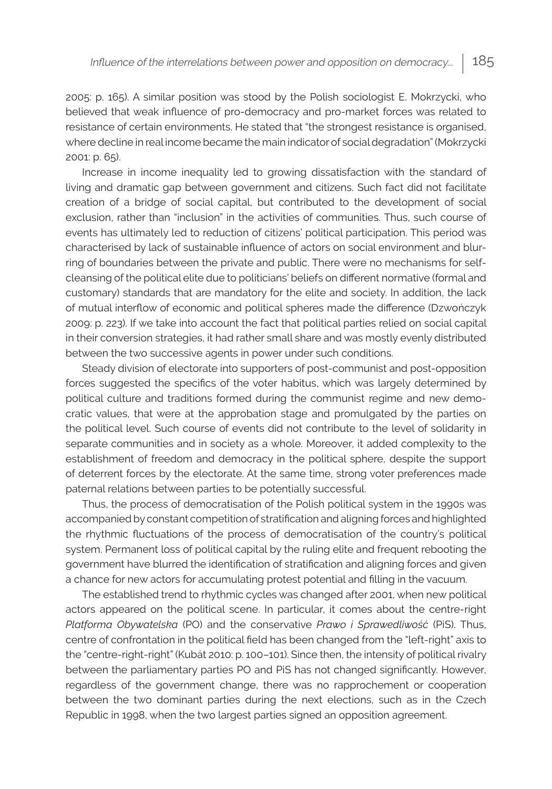2005: p. 165). A similar position was stood by the Polish sociologist E. Mokrzycki, who believed that weak influence of pro-democracy and pro-market forces was related to resistance of certain environments. He stated that "the strongest resistance is organised, where decline in real income became the main indicator of social degradation" (Mokrzycki 2001: p. 65).

Increase in income inequality led to growing dissatisfaction with the standard of living and dramatic gap between government and citizens. Such fact did not facilitate creation of a bridge of social capital, but contributed to the development of social exclusion, rather than "inclusion" in the activities of communities. Thus, such course of events has ultimately led to reduction of citizens' political participation. This period was characterised by lack of sustainable influence of actors on social environment and blurring of boundaries between the private and public. There were no mechanisms for selfcleansing of the political elite due to politicians' beliefs on different normative (formal and customary) standards that are mandatory for the elite and society. In addition, the lack of mutual interflow of economic and political spheres made the difference (Dzwończyk 2009: р. 223). If we take into account the fact that political parties relied on social capital in their conversion strategies, it had rather small share and was mostly evenly distributed between the two successive agents in power under such conditions.

Steady division of electorate into supporters of post-communist and post-opposition forces suggested the specifics of the voter habitus, which was largely determined by political culture and traditions formed during the communist regime and new democratic values, that were at the approbation stage and promulgated by the parties on the political level. Such course of events did not contribute to the level of solidarity in separate communities and in society as a whole. Moreover, it added complexity to the establishment of freedom and democracy in the political sphere, despite the support of deterrent forces by the electorate. At the same time, strong voter preferences made paternal relations between parties to be potentially successful.

Thus, the process of democratisation of the Polish political system in the 1990s was accompanied by constant competition of stratification and aligning forces and highlighted the rhythmic fluctuations of the process of democratisation of the country's political system. Permanent loss of political capital by the ruling elite and frequent rebooting the government have blurred the identification of stratification and aligning forces and given a chance for new actors for accumulating protest potential and filling in the vacuum.

The established trend to rhythmic cycles was changed after 2001, when new political actors appeared on the political scene. In particular, it comes about the centre-right *Platforma Obywatelska* (PO) and the conservative *Prawo i Sprawedliwość* (PiS). Thus, centre of confrontation in the political field has been changed from the "left-right" axis to the "centre-right-right" (Kubát 2010: p. 100–101). Since then, the intensity of political rivalry between the parliamentary parties PO and PiS has not changed significantly. However, regardless of the government change, there was no rapprochement or cooperation between the two dominant parties during the next elections, such as in the Czech Republic in 1998, when the two largest parties signed an opposition agreement.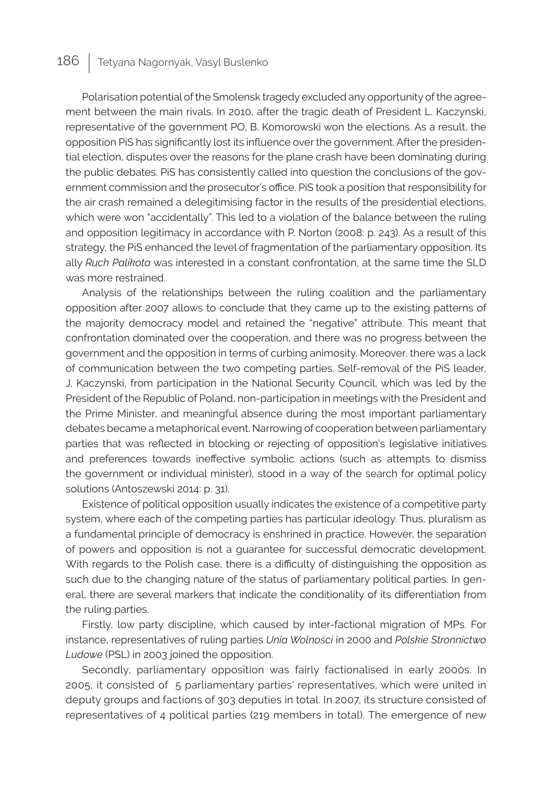Polarisation potential of the Smolensk tragedy excluded any opportunity of the agreement between the main rivals. In 2010, after the tragic death of President L. Kaczynski, representative of the government PO, B. Komorowski won the elections. As a result, the opposition PiS has significantly lost its influence over the government. After the presidential election, disputes over the reasons for the plane crash have been dominating during the public debates. PiS has consistently called into question the conclusions of the government commission and the prosecutor's office. PiS took a position that responsibility for the air crash remained a delegitimising factor in the results of the presidential elections, which were won "accidentally". This led to a violation of the balance between the ruling and opposition legitimacy in accordance with P. Norton (2008: р. 243). As a result of this strategy, the PiS enhanced the level of fragmentation of the parliamentary opposition. Its ally *Ruch Palikota* was interested in a constant confrontation, at the same time the SLD was more restrained.

Analysis of the relationships between the ruling coalition and the parliamentary opposition after 2007 allows to conclude that they came up to the existing patterns of the majority democracy model and retained the "negative" attribute. This meant that confrontation dominated over the cooperation, and there was no progress between the government and the opposition in terms of curbing animosity. Moreover, there was a lack of communication between the two competing parties. Self-removal of the PiS leader, J. Kaczynski, from participation in the National Security Council, which was led by the President of the Republic of Poland, non-participation in meetings with the President and the Prime Minister, and meaningful absence during the most important parliamentary debates became a metaphorical event. Narrowing of cooperation between parliamentary parties that was reflected in blocking or rejecting of opposition's legislative initiatives and preferences towards ineffective symbolic actions (such as attempts to dismiss the government or individual minister), stood in a way of the search for optimal policy solutions (Antoszewski 2014: p. 31).

Existence of political opposition usually indicates the existence of a competitive party system, where each of the competing parties has particular ideology. Thus, pluralism as a fundamental principle of democracy is enshrined in practice. However, the separation of powers and opposition is not a guarantee for successful democratic development. With regards to the Polish case, there is a difficulty of distinguishing the opposition as such due to the changing nature of the status of parliamentary political parties. In general, there are several markers that indicate the conditionality of its differentiation from the ruling parties.

Firstly, low party discipline, which caused by inter-factional migration of MPs. For instance, representatives of ruling parties *Unia Wolności* in 2000 and *Polskie Stronnictwo Ludowe* (PSL) in 2003 joined the opposition.

Secondly, parliamentary opposition was fairly factionalised in early 2000s. In 2005, it consisted of 5 parliamentary parties' representatives, which were united in deputy groups and factions of 303 deputies in total. In 2007, its structure consisted of representatives of 4 political parties (219 members in total). The emergence of new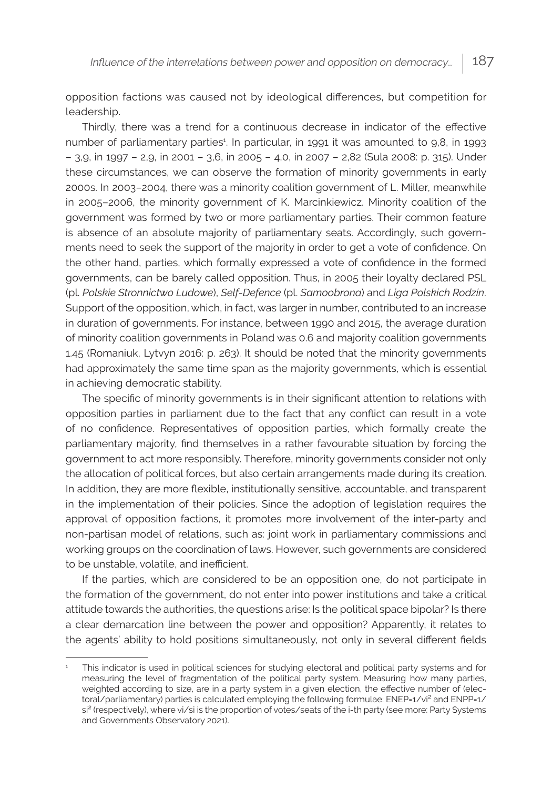opposition factions was caused not by ideological differences, but competition for leadership.

Thirdly, there was a trend for a continuous decrease in indicator of the effective number of parliamentary parties<sup>1</sup>. In particular, in 1991 it was amounted to 9,8, in 1993 – 3,9, in 1997 – 2,9, in 2001 – 3,6, in 2005 – 4,0, in 2007 – 2,82 (Sula 2008: р. 315). Under these circumstances, we can observe the formation of minority governments in early 2000s. In 2003–2004, there was a minority coalition government of L. Miller, meanwhile in 2005–2006, the minority government of K. Marcinkiewicz. Minority coalition of the government was formed by two or more parliamentary parties. Their common feature is absence of an absolute majority of parliamentary seats. Accordingly, such governments need to seek the support of the majority in order to get a vote of confidence. On the other hand, parties, which formally expressed a vote of confidence in the formed governments, can be barely called opposition. Thus, in 2005 their loyalty declared PSL (pl. *Polskie Stronnictwo Ludowe*), *Self-Defence* (pl. *Samoobrona*) and *Liga Polskich Rodzin*. Support of the opposition, which, in fact, was larger in number, contributed to an increase in duration of governments. For instance, between 1990 and 2015, the average duration of minority coalition governments in Poland was 0.6 and majority coalition governments 1.45 (Romaniuk, Lytvyn 2016: р. 263). It should be noted that the minority governments had approximately the same time span as the majority governments, which is essential in achieving democratic stability.

The specific of minority governments is in their significant attention to relations with opposition parties in parliament due to the fact that any conflict can result in a vote of no confidence. Representatives of opposition parties, which formally create the parliamentary majority, find themselves in a rather favourable situation by forcing the government to act more responsibly. Therefore, minority governments consider not only the allocation of political forces, but also certain arrangements made during its creation. In addition, they are more flexible, institutionally sensitive, accountable, and transparent in the implementation of their policies. Since the adoption of legislation requires the approval of opposition factions, it promotes more involvement of the inter-party and non-partisan model of relations, such as: joint work in parliamentary commissions and working groups on the coordination of laws. However, such governments are considered to be unstable, volatile, and inefficient.

If the parties, which are considered to be an opposition one, do not participate in the formation of the government, do not enter into power institutions and take a critical attitude towards the authorities, the questions arise: Is the political space bipolar? Is there a clear demarcation line between the power and opposition? Apparently, it relates to the agents' ability to hold positions simultaneously, not only in several different fields

<sup>1</sup> This indicator is used in political sciences for studying electoral and political party systems and for measuring the level of fragmentation of the political party system. Measuring how many parties, weighted according to size, are in a party system in a given election, the effective number of (electoral/parliamentary) parties is calculated employing the following formulae: ENEP=1/vi<sup>2</sup> and ENPP=1/ si<sup>2</sup> (respectively), where vi/si is the proportion of votes/seats of the i-th party (see more: Party Systems and Governments Observatory 2021).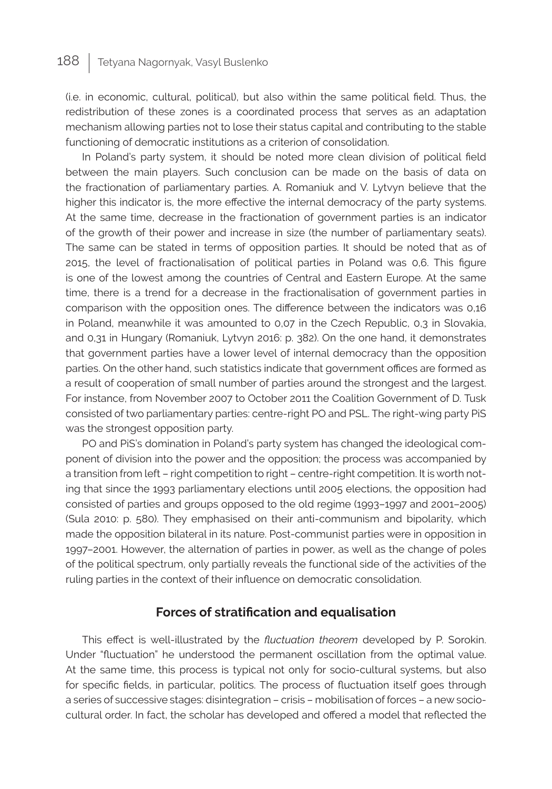(i.e. in economic, cultural, political), but also within the same political field. Thus, the redistribution of these zones is a coordinated process that serves as an adaptation mechanism allowing parties not to lose their status capital and contributing to the stable functioning of democratic institutions as a criterion of consolidation.

In Poland's party system, it should be noted more clean division of political field between the main players. Such conclusion can be made on the basis of data on the fractionation of parliamentary parties. A. Romaniuk and V. Lytvyn believe that the higher this indicator is, the more effective the internal democracy of the party systems. At the same time, decrease in the fractionation of government parties is an indicator of the growth of their power and increase in size (the number of parliamentary seats). The same can be stated in terms of opposition parties. It should be noted that as of 2015, the level of fractionalisation of political parties in Poland was 0,6. This figure is one of the lowest among the countries of Central and Eastern Europe. At the same time, there is a trend for a decrease in the fractionalisation of government parties in comparison with the opposition ones. The difference between the indicators was 0,16 in Poland, meanwhile it was amounted to 0,07 in the Czech Republic, 0,3 in Slovakia, and 0,31 in Hungary (Romaniuk, Lytvyn 2016: р. 382). On the one hand, it demonstrates that government parties have a lower level of internal democracy than the opposition parties. On the other hand, such statistics indicate that government offices are formed as a result of cooperation of small number of parties around the strongest and the largest. For instance, from November 2007 to October 2011 the Coalition Government of D. Tusk consisted of two parliamentary parties: centre-right РО and PSL. The right-wing party PiS was the strongest opposition party.

PO and PiS's domination in Poland's party system has changed the ideological component of division into the power and the opposition; the process was accompanied by a transition from left – right competition to right – centre-right competition. It is worth noting that since the 1993 parliamentary elections until 2005 elections, the opposition had consisted of parties and groups opposed to the old regime (1993–1997 and 2001–2005) (Sula 2010: р. 580). They emphasised on their anti-communism and bipolarity, which made the opposition bilateral in its nature. Post-communist parties were in opposition in 1997–2001. However, the alternation of parties in power, as well as the change of poles of the political spectrum, only partially reveals the functional side of the activities of the ruling parties in the context of their influence on democratic consolidation.

#### **Forces of stratification and equalisation**

This effect is well-illustrated by the *fluctuation theorem* developed by P. Sorokin. Under "fluctuation" he understood the permanent oscillation from the optimal value. At the same time, this process is typical not only for socio-cultural systems, but also for specific fields, in particular, politics. The process of fluctuation itself goes through a series of successive stages: disintegration – crisis – mobilisation of forces – a new sociocultural order. In fact, the scholar has developed and offered a model that reflected the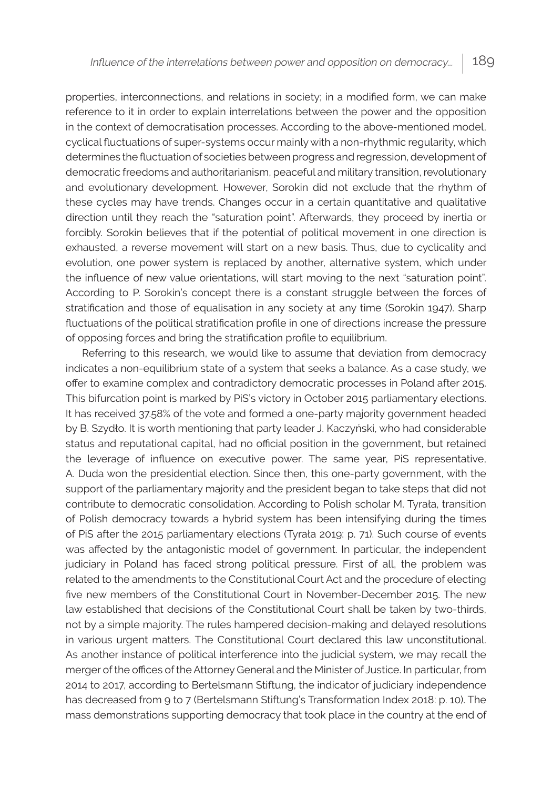properties, interconnections, and relations in society; in a modified form, we can make reference to it in order to explain interrelations between the power and the opposition in the context of democratisation processes. According to the above-mentioned model, cyclical fluctuations of super-systems occur mainly with a non-rhythmic regularity, which determines the fluctuation of societies between progress and regression, development of democratic freedoms and authoritarianism, peaceful and military transition, revolutionary and evolutionary development. However, Sorokin did not exclude that the rhythm of these cycles may have trends. Changes occur in a certain quantitative and qualitative direction until they reach the "saturation point". Afterwards, they proceed by inertia or forcibly. Sorokin believes that if the potential of political movement in one direction is exhausted, a reverse movement will start on a new basis. Thus, due to cyclicality and evolution, one power system is replaced by another, alternative system, which under the influence of new value orientations, will start moving to the next "saturation point". According to P. Sorokin's concept there is a constant struggle between the forces of stratification and those of equalisation in any society at any time (Sorokin 1947). Sharp fluctuations of the political stratification profile in one of directions increase the pressure of opposing forces and bring the stratification profile to equilibrium.

Referring to this research, we would like to assume that deviation from democracy indicates a non-equilibrium state of a system that seeks a balance. As a case study, we offer to examine complex and contradictory democratic processes in Poland after 2015. This bifurcation point is marked by PiS's victory in October 2015 parliamentary elections. It has received 37.58% of the vote and formed a one-party majority government headed by B. Szydło. It is worth mentioning that party leader J. Kaczyński, who had considerable status and reputational capital, had no official position in the government, but retained the leverage of influence on executive power. The same year, PiS representative, A. Duda won the presidential election. Since then, this one-party government, with the support of the parliamentary majority and the president began to take steps that did not contribute to democratic consolidation. According to Polish scholar M. Tyrała, transition of Polish democracy towards a hybrid system has been intensifying during the times of PiS after the 2015 parliamentary elections (Tyrała 2019: р. 71). Such course of events was affected by the antagonistic model of government. In particular, the independent judiciary in Poland has faced strong political pressure. First of all, the problem was related to the amendments to the Constitutional Court Act and the procedure of electing five new members of the Constitutional Court in November-December 2015. The new law established that decisions of the Constitutional Court shall be taken by two-thirds, not by a simple majority. The rules hampered decision-making and delayed resolutions in various urgent matters. The Constitutional Court declared this law unconstitutional. As another instance of political interference into the judicial system, we may recall the merger of the offices of the Attorney General and the Minister of Justice. In particular, from 2014 to 2017, according to Bertelsmann Stiftung, the indicator of judiciary independence has decreased from 9 to 7 (Bertelsmann Stiftung's Transformation Index 2018: р. 10). The mass demonstrations supporting democracy that took place in the country at the end of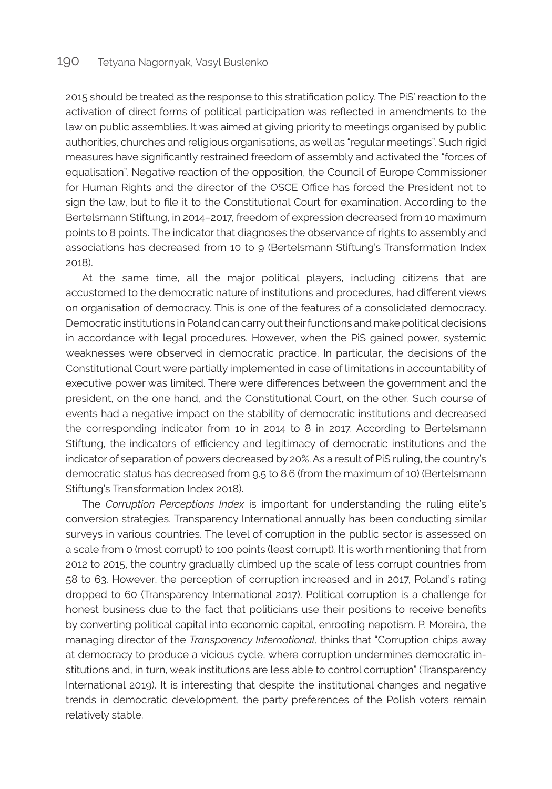2015 should be treated as the response to this stratification policy. The PiS' reaction to the activation of direct forms of political participation was reflected in amendments to the law on public assemblies. It was aimed at giving priority to meetings organised by public authorities, churches and religious organisations, as well as "regular meetings". Such rigid measures have significantly restrained freedom of assembly and activated the "forces of equalisation". Negative reaction of the opposition, the Council of Europe Commissioner for Human Rights and the director of the OSCE Office has forced the President not to sign the law, but to file it to the Constitutional Court for examination. According to the Bertelsmann Stiftung, in 2014–2017, freedom of expression decreased from 10 maximum points to 8 points. The indicator that diagnoses the observance of rights to assembly and associations has decreased from 10 to 9 (Bertelsmann Stiftung's Transformation Index 2018).

At the same time, all the major political players, including citizens that are accustomed to the democratic nature of institutions and procedures, had different views on organisation of democracy. This is one of the features of a consolidated democracy. Democratic institutions in Poland can carry out their functions and make political decisions in accordance with legal procedures. However, when the PiS gained power, systemic weaknesses were observed in democratic practice. In particular, the decisions of the Constitutional Court were partially implemented in case of limitations in accountability of executive power was limited. There were differences between the government and the president, on the one hand, and the Constitutional Court, on the other. Such course of events had a negative impact on the stability of democratic institutions and decreased the corresponding indicator from 10 in 2014 to 8 in 2017. According to Bertelsmann Stiftung, the indicators of efficiency and legitimacy of democratic institutions and the indicator of separation of powers decreased by 20%. As a result of PiS ruling, the country's democratic status has decreased from 9.5 to 8.6 (from the maximum of 10) (Bertelsmann Stiftung's Transformation Index 2018).

The *Corruption Perceptions Index* is important for understanding the ruling elite's conversion strategies. Transparency International annually has been conducting similar surveys in various countries. The level of corruption in the public sector is assessed on a scale from 0 (most corrupt) to 100 points (least corrupt). It is worth mentioning that from 2012 to 2015, the country gradually climbed up the scale of less corrupt countries from 58 to 63. However, the perception of corruption increased and in 2017, Poland's rating dropped to 60 (Transparency International 2017). Political corruption is a challenge for honest business due to the fact that politicians use their positions to receive benefits by converting political capital into economic capital, enrooting nepotism. P. Moreira, the managing director of the *Transparency International,* thinks that "Corruption chips away at democracy to produce a vicious cycle, where corruption undermines democratic institutions and, in turn, weak institutions are less able to control corruption" (Transparency International 2019). It is interesting that despite the institutional changes and negative trends in democratic development, the party preferences of the Polish voters remain relatively stable.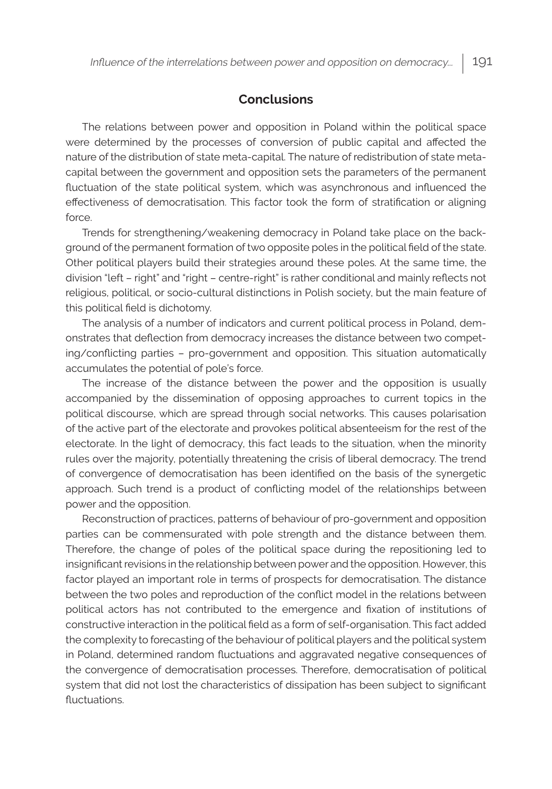#### **Conclusions**

The relations between power and opposition in Poland within the political space were determined by the processes of conversion of public capital and affected the nature of the distribution of state meta-capital. The nature of redistribution of state metacapital between the government and opposition sets the parameters of the permanent fluctuation of the state political system, which was asynchronous and influenced the effectiveness of democratisation. This factor took the form of stratification or aligning force.

Trends for strengthening/weakening democracy in Poland take place on the background of the permanent formation of two opposite poles in the political field of the state. Other political players build their strategies around these poles. At the same time, the division "left – right" and "right – centre-right" is rather conditional and mainly reflects not religious, political, or socio-cultural distinctions in Polish society, but the main feature of this political field is dichotomy.

The analysis of a number of indicators and current political process in Poland, demonstrates that deflection from democracy increases the distance between two competing/conflicting parties – pro-government and opposition. This situation automatically accumulates the potential of pole's force.

The increase of the distance between the power and the opposition is usually accompanied by the dissemination of opposing approaches to current topics in the political discourse, which are spread through social networks. This causes polarisation of the active part of the electorate and provokes political absenteeism for the rest of the electorate. In the light of democracy, this fact leads to the situation, when the minority rules over the majority, potentially threatening the crisis of liberal democracy. The trend of convergence of democratisation has been identified on the basis of the synergetic approach. Such trend is a product of conflicting model of the relationships between power and the opposition.

Reconstruction of practices, patterns of behaviour of pro-government and opposition parties can be commensurated with pole strength and the distance between them. Therefore, the change of poles of the political space during the repositioning led to insignificant revisions in the relationship between power and the opposition. However, this factor played an important role in terms of prospects for democratisation. The distance between the two poles and reproduction of the conflict model in the relations between political actors has not contributed to the emergence and fixation of institutions of constructive interaction in the political field as a form of self-organisation. This fact added the complexity to forecasting of the behaviour of political players and the political system in Poland, determined random fluctuations and aggravated negative consequences of the convergence of democratisation processes. Therefore, democratisation of political system that did not lost the characteristics of dissipation has been subject to significant fluctuations.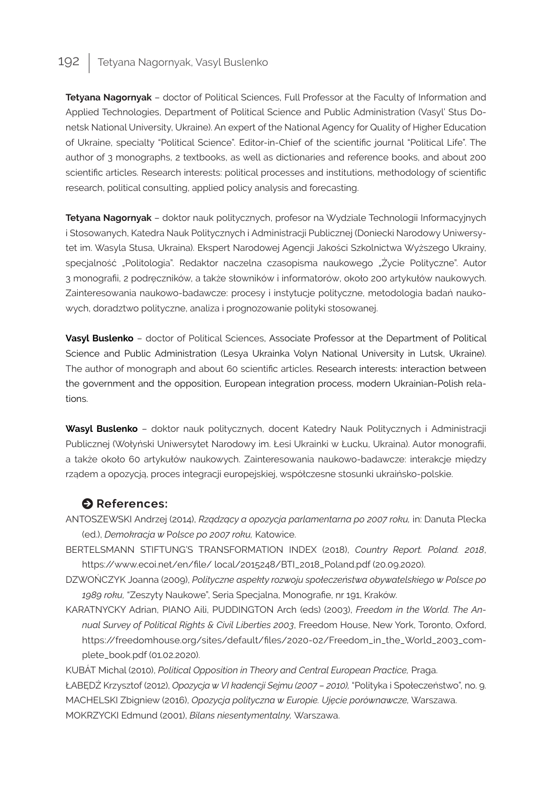**Tetyana Nagornyak** – doctor of Political Sciences, Full Professor at the Faculty of Information and Applied Technologies, Department of Political Science and Public Administration (Vasyl' Stus Donetsk National University, Ukraine). An expert of the National Agency for Quality of Higher Education of Ukraine, specialty "Political Science". Editor-in-Chief of the scientific journal "Political Life". The author of 3 monographs, 2 textbooks, as well as dictionaries and reference books, and about 200 scientific articles. Research interests: political processes and institutions, methodology of scientific research, political consulting, applied policy analysis and forecasting.

**Tetyana Nagornyak** – doktor nauk politycznych, profesor na Wydziale Technologii Informacyjnych i Stosowanych, Katedra Nauk Politycznych i Administracji Publicznej (Doniecki Narodowy Uniwersytet im. Wasyla Stusa, Ukraina). Ekspert Narodowej Agencji Jakości Szkolnictwa Wyższego Ukrainy, specjalność "Politologia". Redaktor naczelna czasopisma naukowego "Życie Polityczne". Autor 3 monografii, 2 podręczników, a także słowników i informatorów, około 200 artykułów naukowych. Zainteresowania naukowo-badawcze: procesy i instytucje polityczne, metodologia badań naukowych, doradztwo polityczne, analiza i prognozowanie polityki stosowanej.

**Vasyl Buslenko** – doctor of Political Sciences, Associate Professor at the Department of Political Science and Public Administration (Lesya Ukrainka Volyn National University in Lutsk, Ukraine). The author of monograph and about 60 scientific articles. Research interests: interaction between the government and the opposition, European integration process, modern Ukrainian-Polish relations.

**Wasyl Buslenko** – doktor nauk politycznych, docent Katedry Nauk Politycznych i Administracji Publicznej (Wołyński Uniwersytet Narodowy im. Łesi Ukrainki w Łucku, Ukraina). Autor monografii, a także około 60 artykułów naukowych. Zainteresowania naukowo-badawcze: interakcje między rządem a opozycją, proces integracji europejskiej, współczesne stosunki ukraińsko-polskie.

#### $\bullet$  References:

- ANTOSZEWSKI Аndrzej (2014), *Rządzący a opozycja parlamentarna po 2007 roku,* in: Danuta Plecka (ed.), *Demokracja w* Р*olsce po 2007 roku,* Katowice.
- BERTELSMANN STIFTUNG'S TRANSFORMATION INDEX (2018), *Country Report. Poland. 2018*, [https://www.ecoi.net/en/file/ local/2015248/BTI\\_2018\\_Poland.pdf](https://www.ecoi.net/en/file/%20local/2015248/BTI_2018_Poland.pdf) (20.09.2020).
- DZWOŃCZYK Joanna (2009), *Polityczne aspekty rozwoju społeczeństwa obywatelskiego w Polsce po 1989 roku,* "Zeszyty Naukowe", Seria Specjalna, Monografie, [nr 191](http://yadda.icm.edu.pl/yadda/element/bwmeta1.element.ekon-element-fbfe394d-60a1-3dd4-874e-5ce1b09d15d1), Kraków.
- KARATNYCKY Adrian, PIANO Aili, PUDDINGTON Arch (eds) (2003), *Freedom in the World. The Annual Survey of Political Rights & Civil Liberties 2003*, Freedom House, New York, Toronto, Oxford, https://freedomhouse.org/sites/default/files/2020-02/Freedom\_in\_the\_World\_2003\_complete\_book.pdf (01.02.2020).

KUBÁT Michal (2010), *Political Opposition in Theory and Central European Practice,* Praga. ŁABĘDŹ Krzysztof (2012), *Opozycja w VI kadencji Sejmu (2007 – 2010),* "Polityka i Społeczeństwo", no. 9. MACHELSKI Zbigniew (2016), *Opozycja polityczna w Europie. Ujęcie porównawcze,* Warszawa. MOKRZYCKI Edmund (2001), *Bilans niesentymentalny,* Warszawa.